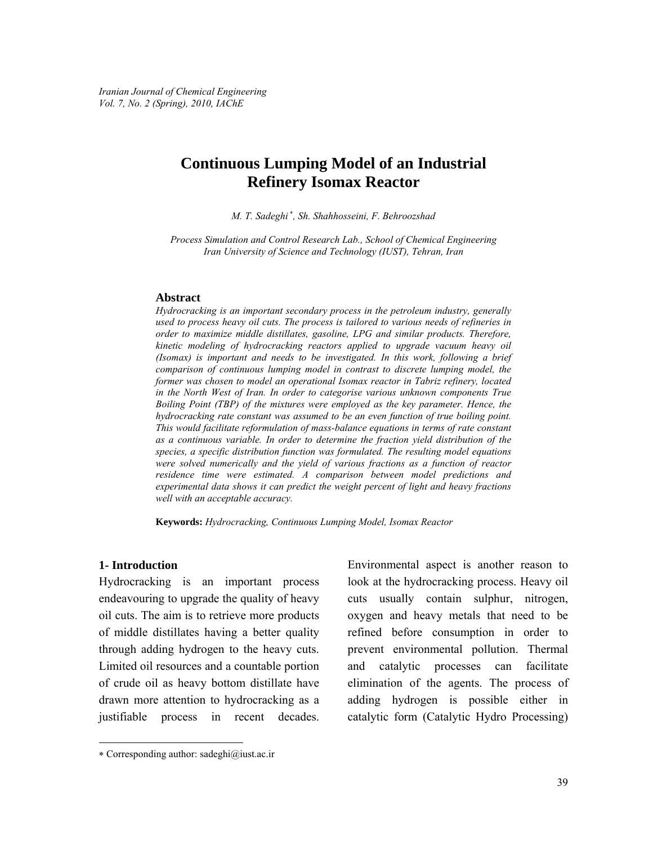# **Continuous Lumping Model of an Industrial Refinery Isomax Reactor**

*M. T. Sadeghi* <sup>∗</sup> *, Sh. Shahhosseini, F. Behroozshad* 

*Process Simulation and Control Research Lab., School of Chemical Engineering Iran University of Science and Technology (IUST), Tehran, Iran* 

#### **Abstract**

*Hydrocracking is an important secondary process in the petroleum industry, generally used to process heavy oil cuts. The process is tailored to various needs of refineries in order to maximize middle distillates, gasoline, LPG and similar products. Therefore, kinetic modeling of hydrocracking reactors applied to upgrade vacuum heavy oil (Isomax) is important and needs to be investigated. In this work, following a brief comparison of continuous lumping model in contrast to discrete lumping model, the former was chosen to model an operational Isomax reactor in Tabriz refinery, located in the North West of Iran. In order to categorise various unknown components True Boiling Point (TBP) of the mixtures were employed as the key parameter. Hence, the hydrocracking rate constant was assumed to be an even function of true boiling point. This would facilitate reformulation of mass-balance equations in terms of rate constant as a continuous variable. In order to determine the fraction yield distribution of the species, a specific distribution function was formulated. The resulting model equations were solved numerically and the yield of various fractions as a function of reactor residence time were estimated. A comparison between model predictions and experimental data shows it can predict the weight percent of light and heavy fractions well with an acceptable accuracy.* 

**Keywords:** *Hydrocracking, Continuous Lumping Model, Isomax Reactor* 

### **1- Introduction**

l

Hydrocracking is an important process endeavouring to upgrade the quality of heavy oil cuts. The aim is to retrieve more products of middle distillates having a better quality through adding hydrogen to the heavy cuts. Limited oil resources and a countable portion of crude oil as heavy bottom distillate have drawn more attention to hydrocracking as a justifiable process in recent decades.

∗ Corresponding author: sadeghi@iust.ac.ir

Environmental aspect is another reason to look at the hydrocracking process. Heavy oil cuts usually contain sulphur, nitrogen, oxygen and heavy metals that need to be refined before consumption in order to prevent environmental pollution. Thermal and catalytic processes can facilitate elimination of the agents. The process of adding hydrogen is possible either in catalytic form (Catalytic Hydro Processing)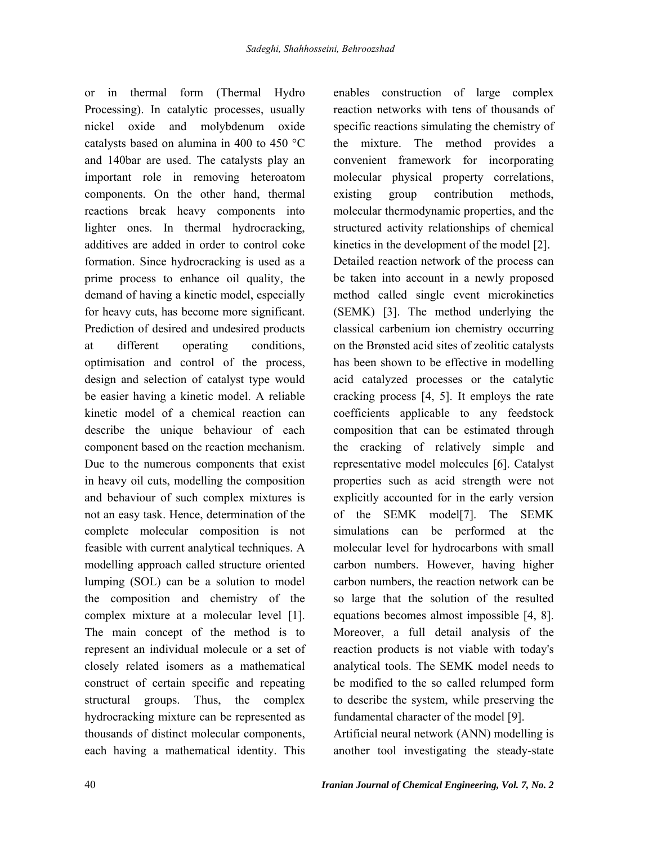or in thermal form (Thermal Hydro Processing). In catalytic processes, usually nickel oxide and molybdenum oxide catalysts based on alumina in 400 to 450 °C and 140bar are used. The catalysts play an important role in removing heteroatom components. On the other hand, thermal reactions break heavy components into lighter ones. In thermal hydrocracking, additives are added in order to control coke formation. Since hydrocracking is used as a prime process to enhance oil quality, the demand of having a kinetic model, especially for heavy cuts, has become more significant. Prediction of desired and undesired products at different operating conditions, optimisation and control of the process, design and selection of catalyst type would be easier having a kinetic model. A reliable kinetic model of a chemical reaction can describe the unique behaviour of each component based on the reaction mechanism. Due to the numerous components that exist in heavy oil cuts, modelling the composition and behaviour of such complex mixtures is not an easy task. Hence, determination of the complete molecular composition is not feasible with current analytical techniques. A modelling approach called structure oriented lumping (SOL) can be a solution to model the composition and chemistry of the complex mixture at a molecular level [1]. The main concept of the method is to represent an individual molecule or a set of closely related isomers as a mathematical construct of certain specific and repeating structural groups. Thus, the complex hydrocracking mixture can be represented as thousands of distinct molecular components, each having a mathematical identity. This

enables construction of large complex reaction networks with tens of thousands of specific reactions simulating the chemistry of the mixture. The method provides a convenient framework for incorporating molecular physical property correlations, existing group contribution methods, molecular thermodynamic properties, and the structured activity relationships of chemical kinetics in the development of the model [2]. Detailed reaction network of the process can be taken into account in a newly proposed method called single event microkinetics (SEMK) [3]. The method underlying the classical carbenium ion chemistry occurring on the Brønsted acid sites of zeolitic catalysts has been shown to be effective in modelling acid catalyzed processes or the catalytic cracking process [4, 5]. It employs the rate coefficients applicable to any feedstock composition that can be estimated through the cracking of relatively simple and representative model molecules [6]. Catalyst properties such as acid strength were not explicitly accounted for in the early version of the SEMK model[7]. The SEMK simulations can be performed at the molecular level for hydrocarbons with small carbon numbers. However, having higher carbon numbers, the reaction network can be so large that the solution of the resulted equations becomes almost impossible [4, 8]. Moreover, a full detail analysis of the reaction products is not viable with today's analytical tools. The SEMK model needs to be modified to the so called relumped form to describe the system, while preserving the fundamental character of the model [9].

Artificial neural network (ANN) modelling is another tool investigating the steady-state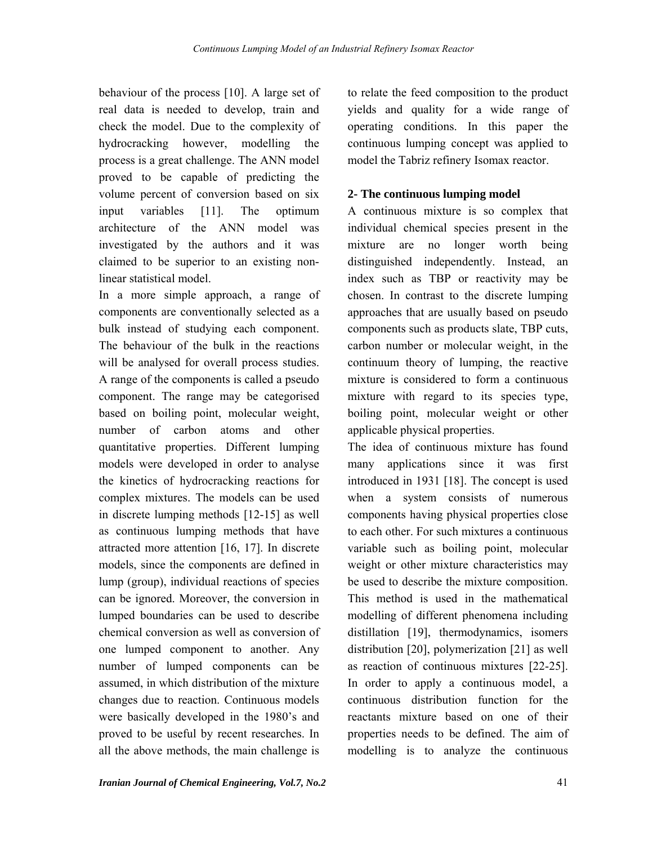behaviour of the process [10]. A large set of real data is needed to develop, train and check the model. Due to the complexity of hydrocracking however, modelling the process is a great challenge. The ANN model proved to be capable of predicting the volume percent of conversion based on six input variables [11]. The optimum architecture of the ANN model was investigated by the authors and it was claimed to be superior to an existing nonlinear statistical model.

In a more simple approach, a range of components are conventionally selected as a bulk instead of studying each component. The behaviour of the bulk in the reactions will be analysed for overall process studies. A range of the components is called a pseudo component. The range may be categorised based on boiling point, molecular weight, number of carbon atoms and other quantitative properties. Different lumping models were developed in order to analyse the kinetics of hydrocracking reactions for complex mixtures. The models can be used in discrete lumping methods [12-15] as well as continuous lumping methods that have attracted more attention [16, 17]. In discrete models, since the components are defined in lump (group), individual reactions of species can be ignored. Moreover, the conversion in lumped boundaries can be used to describe chemical conversion as well as conversion of one lumped component to another. Any number of lumped components can be assumed, in which distribution of the mixture changes due to reaction. Continuous models were basically developed in the 1980's and proved to be useful by recent researches. In all the above methods, the main challenge is

to relate the feed composition to the product yields and quality for a wide range of operating conditions. In this paper the continuous lumping concept was applied to model the Tabriz refinery Isomax reactor.

## **2- The continuous lumping model**

A continuous mixture is so complex that individual chemical species present in the mixture are no longer worth being distinguished independently. Instead, an index such as TBP or reactivity may be chosen. In contrast to the discrete lumping approaches that are usually based on pseudo components such as products slate, TBP cuts, carbon number or molecular weight, in the continuum theory of lumping, the reactive mixture is considered to form a continuous mixture with regard to its species type, boiling point, molecular weight or other applicable physical properties.

The idea of continuous mixture has found many applications since it was first introduced in 1931 [18]. The concept is used when a system consists of numerous components having physical properties close to each other. For such mixtures a continuous variable such as boiling point, molecular weight or other mixture characteristics may be used to describe the mixture composition. This method is used in the mathematical modelling of different phenomena including distillation [19], thermodynamics, isomers distribution [20], polymerization [21] as well as reaction of continuous mixtures [22-25]. In order to apply a continuous model, a continuous distribution function for the reactants mixture based on one of their properties needs to be defined. The aim of modelling is to analyze the continuous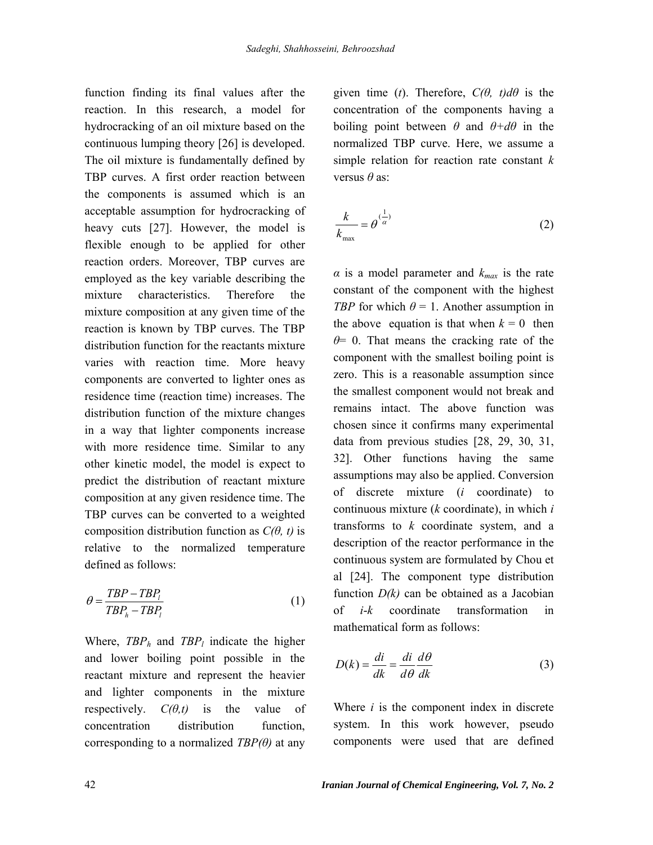function finding its final values after the reaction. In this research, a model for hydrocracking of an oil mixture based on the continuous lumping theory [26] is developed. The oil mixture is fundamentally defined by TBP curves. A first order reaction between the components is assumed which is an acceptable assumption for hydrocracking of heavy cuts [27]. However, the model is flexible enough to be applied for other reaction orders. Moreover, TBP curves are employed as the key variable describing the mixture characteristics. Therefore the mixture composition at any given time of the reaction is known by TBP curves. The TBP distribution function for the reactants mixture varies with reaction time. More heavy components are converted to lighter ones as residence time (reaction time) increases. The distribution function of the mixture changes in a way that lighter components increase with more residence time. Similar to any other kinetic model, the model is expect to predict the distribution of reactant mixture composition at any given residence time. The TBP curves can be converted to a weighted composition distribution function as  $C(\theta, t)$  is relative to the normalized temperature defined as follows:

$$
\theta = \frac{TBP - TBP_i}{TBP_h - TBP_i} \tag{1}
$$

Where,  $TBP_h$  and  $TBP_l$  indicate the higher and lower boiling point possible in the reactant mixture and represent the heavier and lighter components in the mixture respectively.  $C(\theta,t)$  is the value of concentration distribution function, corresponding to a normalized  $TBP(\theta)$  at any given time (*t*). Therefore,  $C(\theta, t)d\theta$  is the concentration of the components having a boiling point between  $\theta$  and  $\theta + d\theta$  in the normalized TBP curve. Here, we assume a simple relation for reaction rate constant *k* versus *θ* as:

$$
\frac{k}{k_{\text{max}}} = \theta^{(\frac{1}{\alpha})} \tag{2}
$$

 $\alpha$  is a model parameter and  $k_{max}$  is the rate constant of the component with the highest *TBP* for which  $\theta = 1$ . Another assumption in the above equation is that when  $k = 0$  then *θ*= 0. That means the cracking rate of the component with the smallest boiling point is zero. This is a reasonable assumption since the smallest component would not break and remains intact. The above function was chosen since it confirms many experimental data from previous studies [28, 29, 30, 31, 32]. Other functions having the same assumptions may also be applied. Conversion of discrete mixture (*i* coordinate) to continuous mixture (*k* coordinate), in which *i* transforms to *k* coordinate system, and a description of the reactor performance in the continuous system are formulated by Chou et al [24]. The component type distribution function *D(k)* can be obtained as a Jacobian of *i*-*k* coordinate transformation in mathematical form as follows:

$$
D(k) = \frac{di}{dk} = \frac{di}{d\theta} \frac{d\theta}{dk}
$$
 (3)

Where *i* is the component index in discrete system. In this work however, pseudo components were used that are defined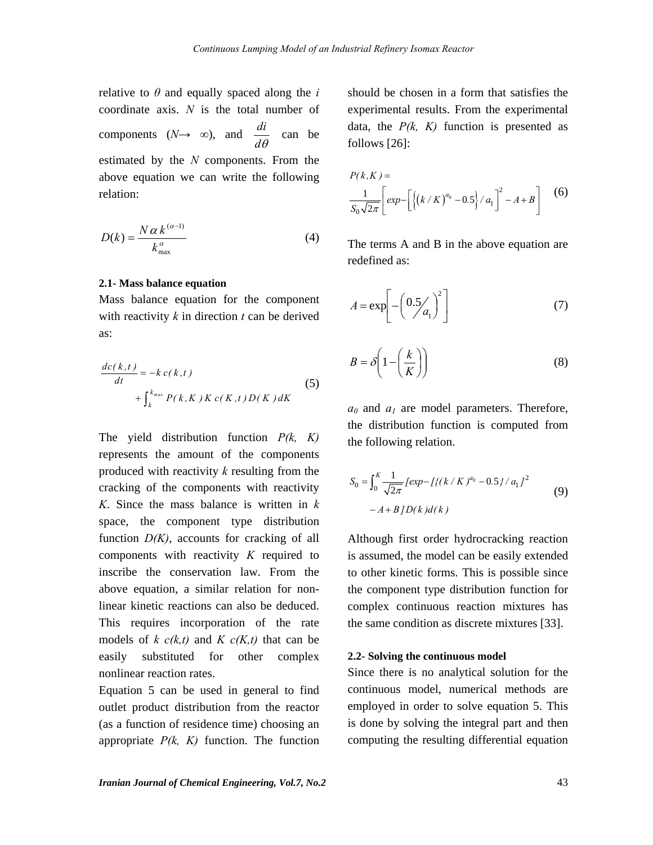relative to  $\theta$  and equally spaced along the *i* coordinate axis. *N* is the total number of components  $(N \rightarrow \infty)$ , and  $\frac{di}{d\theta}$  can be estimated by the *N* components. From the above equation we can write the following relation:

$$
D(k) = \frac{N \alpha k^{(\alpha-1)}}{k_{\max}^{\alpha}}
$$
 (4)

#### **2.1- Mass balance equation**

Mass balance equation for the component with reactivity *k* in direction *t* can be derived as:

$$
\frac{dc(k,t)}{dt} = -k c(k,t)
$$
  
+ 
$$
\int_{k}^{k_{max}} P(k,K) K c(K,t) D(K) dK
$$
 (5)

The yield distribution function *P(k, K)* represents the amount of the components produced with reactivity *k* resulting from the cracking of the components with reactivity *K*. Since the mass balance is written in *k* space, the component type distribution function *D(K)*, accounts for cracking of all components with reactivity *K* required to inscribe the conservation law. From the above equation, a similar relation for nonlinear kinetic reactions can also be deduced. This requires incorporation of the rate models of  $k c(k,t)$  and  $K c(K,t)$  that can be easily substituted for other complex nonlinear reaction rates.

Equation 5 can be used in general to find outlet product distribution from the reactor (as a function of residence time) choosing an appropriate  $P(k, K)$  function. The function should be chosen in a form that satisfies the experimental results. From the experimental data, the  $P(k, K)$  function is presented as follows [26]:

$$
P(k, K) =
$$
  
\n
$$
\frac{1}{S_0 \sqrt{2\pi}} \left[ exp - \left[ \left\{ \left( k/K \right)^{a_0} - 0.5 \right\} / a_1 \right]^2 - A + B \right]
$$
 (6)

The terms A and B in the above equation are redefined as:

$$
A = \exp\left[-\left(0.5 \middle/ a_1\right)^2\right] \tag{7}
$$

$$
B = \delta \left( 1 - \left( \frac{k}{K} \right) \right) \tag{8}
$$

*a0* and *a1* are model parameters. Therefore, the distribution function is computed from the following relation.

$$
S_0 = \int_0^K \frac{1}{\sqrt{2\pi}} \left[ exp - \left[ \left\{ \left( \frac{k}{K} \right)^{a_0} - 0.5 \right\} / a_1 \right]^2 - A + B \left[ \frac{D(k)}{d(k)} \right] \right] \tag{9}
$$

Although first order hydrocracking reaction is assumed, the model can be easily extended to other kinetic forms. This is possible since the component type distribution function for complex continuous reaction mixtures has the same condition as discrete mixtures [33].

#### **2.2- Solving the continuous model**

Since there is no analytical solution for the continuous model, numerical methods are employed in order to solve equation 5. This is done by solving the integral part and then computing the resulting differential equation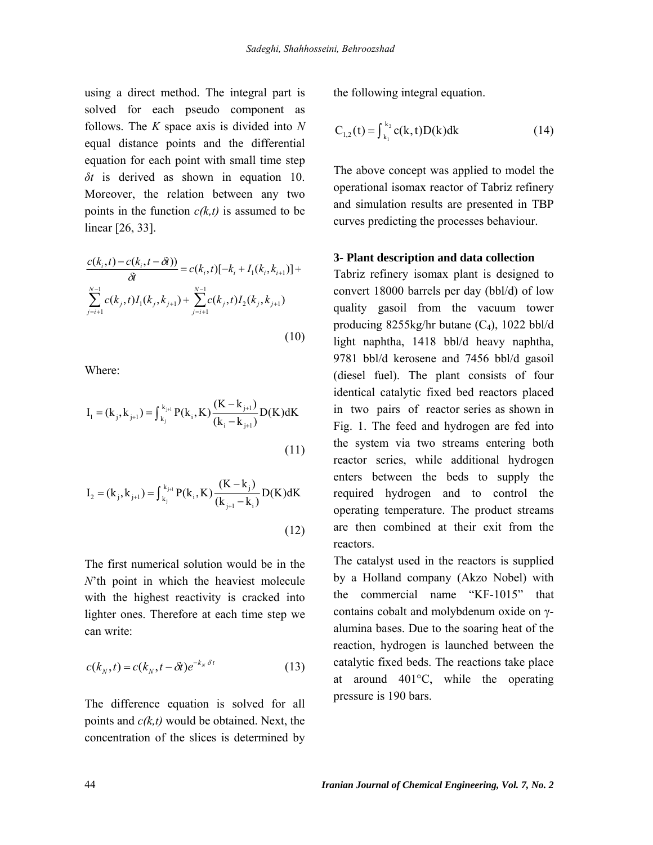using a direct method. The integral part is solved for each pseudo component as follows. The *K* space axis is divided into *N* equal distance points and the differential equation for each point with small time step *δt* is derived as shown in equation 10. Moreover, the relation between any two points in the function  $c(k, t)$  is assumed to be linear [26, 33].

$$
\frac{c(k_i, t) - c(k_i, t - \delta t)}{\delta t} = c(k_i, t)[-k_i + I_1(k_i, k_{i+1})] + \sum_{j=i+1}^{N-1} c(k_j, t)I_1(k_j, k_{j+1}) + \sum_{j=i+1}^{N-1} c(k_j, t)I_2(k_j, k_{j+1})
$$
\n(10)

Where:

$$
I_{1} = (k_{j}, k_{j+1}) = \int_{k_{j}}^{k_{j+1}} P(k_{i}, K) \frac{(K - k_{j+1})}{(k_{i} - k_{j+1})} D(K) dK
$$
\n(11)

$$
I_{2} = (k_{j}, k_{j+1}) = \int_{k_{j}}^{k_{j+1}} P(k_{i}, K) \frac{(K - k_{j})}{(k_{j+1} - k_{i})} D(K) dK
$$
\n(12)

The first numerical solution would be in the *N*'th point in which the heaviest molecule with the highest reactivity is cracked into lighter ones. Therefore at each time step we can write:

$$
c(k_N, t) = c(k_N, t - \delta t)e^{-k_N \delta t}
$$
 (13)

The difference equation is solved for all points and *c(k,t)* would be obtained. Next, the concentration of the slices is determined by

the following integral equation.

$$
C_{1,2}(t) = \int_{k_1}^{k_2} c(k, t) D(k) dk
$$
 (14)

The above concept was applied to model the operational isomax reactor of Tabriz refinery and simulation results are presented in TBP curves predicting the processes behaviour.

### **3- Plant description and data collection**

Tabriz refinery isomax plant is designed to convert 18000 barrels per day (bbl/d) of low quality gasoil from the vacuum tower producing  $8255kg/hr$  butane  $(C_4)$ , 1022 bbl/d light naphtha, 1418 bbl/d heavy naphtha, 9781 bbl/d kerosene and 7456 bbl/d gasoil (diesel fuel). The plant consists of four identical catalytic fixed bed reactors placed in two pairs of reactor series as shown in Fig. 1. The feed and hydrogen are fed into the system via two streams entering both reactor series, while additional hydrogen enters between the beds to supply the required hydrogen and to control the operating temperature. The product streams are then combined at their exit from the reactors.

The catalyst used in the reactors is supplied by a Holland company (Akzo Nobel) with the commercial name "KF-1015" that contains cobalt and molybdenum oxide on γalumina bases. Due to the soaring heat of the reaction, hydrogen is launched between the catalytic fixed beds. The reactions take place at around 401°C, while the operating pressure is 190 bars.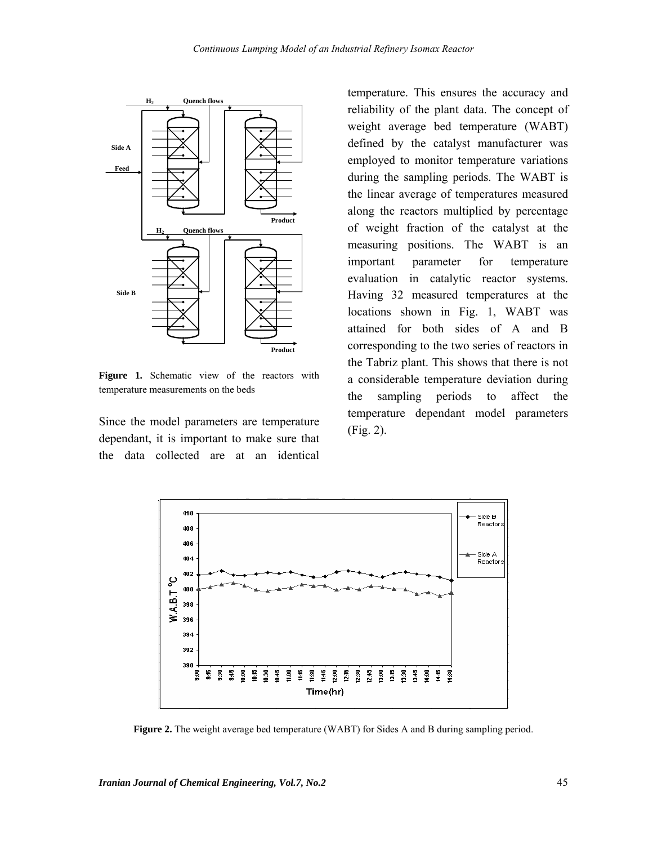

**Figure 1.** Schematic view of the reactors with temperature measurements on the beds

Since the model parameters are temperature dependant, it is important to make sure that the data collected are at an identical

temperature. This ensures the accuracy and reliability of the plant data. The concept of weight average bed temperature (WABT) defined by the catalyst manufacturer was employed to monitor temperature variations during the sampling periods. The WABT is the linear average of temperatures measured along the reactors multiplied by percentage of weight fraction of the catalyst at the measuring positions. The WABT is an important parameter for temperature evaluation in catalytic reactor systems. Having 32 measured temperatures at the locations shown in Fig. 1, WABT was attained for both sides of A and B corresponding to the two series of reactors in the Tabriz plant. This shows that there is not a considerable temperature deviation during the sampling periods to affect the temperature dependant model parameters (Fig. 2).



**Figure 2.** The weight average bed temperature (WABT) for Sides A and B during sampling period.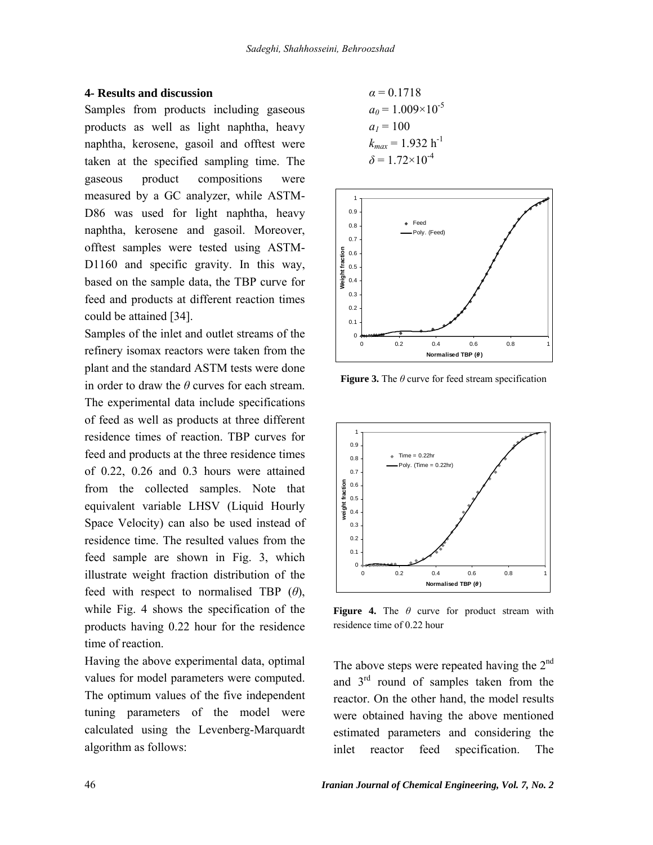#### **4- Results and discussion**

Samples from products including gaseous products as well as light naphtha, heavy naphtha, kerosene, gasoil and offtest were taken at the specified sampling time. The gaseous product compositions were measured by a GC analyzer, while ASTM-D86 was used for light naphtha, heavy naphtha, kerosene and gasoil. Moreover, offtest samples were tested using ASTM-D1160 and specific gravity. In this way, based on the sample data, the TBP curve for feed and products at different reaction times could be attained [34].

Samples of the inlet and outlet streams of the refinery isomax reactors were taken from the plant and the standard ASTM tests were done in order to draw the *θ* curves for each stream. The experimental data include specifications of feed as well as products at three different residence times of reaction. TBP curves for feed and products at the three residence times of 0.22, 0.26 and 0.3 hours were attained from the collected samples. Note that equivalent variable LHSV (Liquid Hourly Space Velocity) can also be used instead of residence time. The resulted values from the feed sample are shown in Fig. 3, which illustrate weight fraction distribution of the feed with respect to normalised TBP (*θ*), while Fig. 4 shows the specification of the products having 0.22 hour for the residence time of reaction.

Having the above experimental data, optimal values for model parameters were computed. The optimum values of the five independent tuning parameters of the model were calculated using the Levenberg-Marquardt algorithm as follows:

$$
\alpha = 0.1718
$$
  
\n
$$
a_0 = 1.009 \times 10^{-5}
$$
  
\n
$$
a_1 = 100
$$
  
\n
$$
k_{max} = 1.932 \text{ h}^{-1}
$$
  
\n
$$
\delta = 1.72 \times 10^{-4}
$$



**Figure 3.** The *θ* curve for feed stream specification



**Figure 4.** The *θ* curve for product stream with residence time of 0.22 hour

The above steps were repeated having the  $2<sup>nd</sup>$ and  $3<sup>rd</sup>$  round of samples taken from the reactor. On the other hand, the model results were obtained having the above mentioned estimated parameters and considering the inlet reactor feed specification. The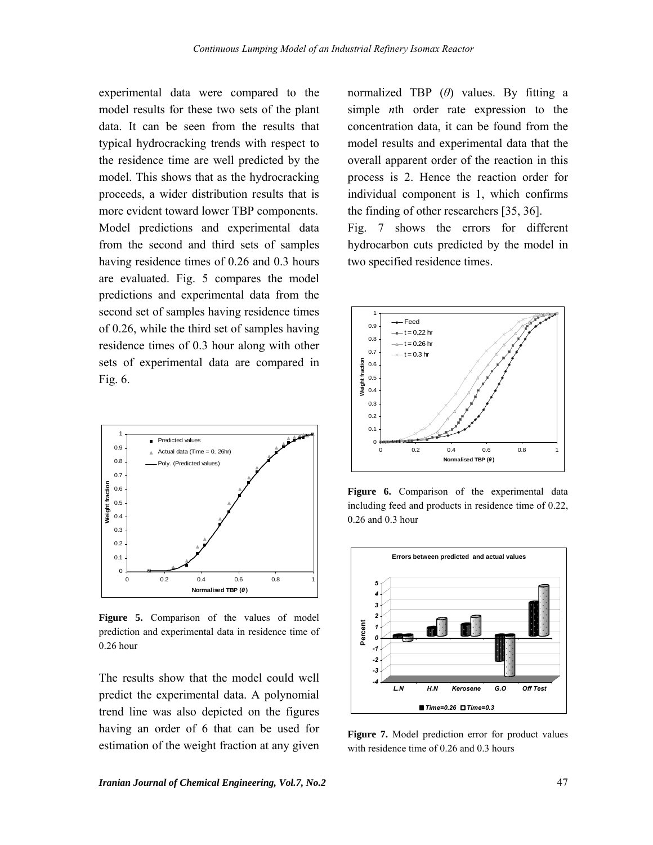experimental data were compared to the model results for these two sets of the plant data. It can be seen from the results that typical hydrocracking trends with respect to the residence time are well predicted by the model. This shows that as the hydrocracking proceeds, a wider distribution results that is more evident toward lower TBP components. Model predictions and experimental data from the second and third sets of samples having residence times of 0.26 and 0.3 hours are evaluated. Fig. 5 compares the model predictions and experimental data from the second set of samples having residence times of 0.26, while the third set of samples having residence times of 0.3 hour along with other sets of experimental data are compared in Fig. 6.



**Figure 5.** Comparison of the values of model prediction and experimental data in residence time of 0.26 hour

The results show that the model could well predict the experimental data. A polynomial trend line was also depicted on the figures having an order of 6 that can be used for estimation of the weight fraction at any given normalized TBP (*θ*) values. By fitting a simple *n*th order rate expression to the concentration data, it can be found from the model results and experimental data that the overall apparent order of the reaction in this process is 2. Hence the reaction order for individual component is 1, which confirms the finding of other researchers [35, 36].

Fig. 7 shows the errors for different hydrocarbon cuts predicted by the model in two specified residence times.



**Figure 6.** Comparison of the experimental data including feed and products in residence time of 0.22, 0.26 and 0.3 hour



**Figure 7.** Model prediction error for product values with residence time of 0.26 and 0.3 hours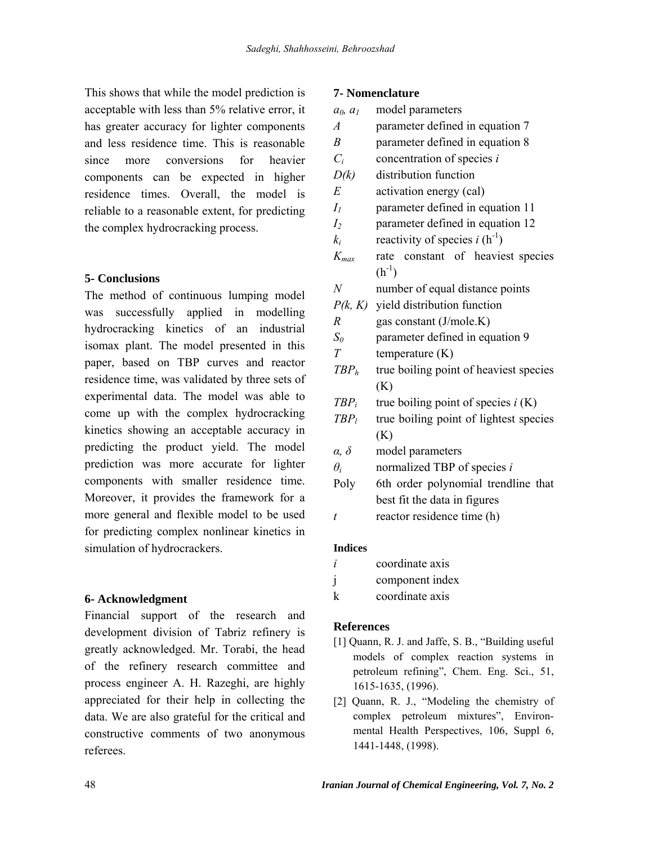This shows that while the model prediction is acceptable with less than 5% relative error, it has greater accuracy for lighter components and less residence time. This is reasonable since more conversions for heavier components can be expected in higher residence times. Overall, the model is reliable to a reasonable extent, for predicting the complex hydrocracking process.

# **5- Conclusions**

The method of continuous lumping model was successfully applied in modelling hydrocracking kinetics of an industrial isomax plant. The model presented in this paper, based on TBP curves and reactor residence time, was validated by three sets of experimental data. The model was able to come up with the complex hydrocracking kinetics showing an acceptable accuracy in predicting the product yield. The model prediction was more accurate for lighter components with smaller residence time. Moreover, it provides the framework for a more general and flexible model to be used for predicting complex nonlinear kinetics in simulation of hydrocrackers.

# **6- Acknowledgment**

Financial support of the research and development division of Tabriz refinery is greatly acknowledged. Mr. Torabi, the head of the refinery research committee and process engineer A. H. Razeghi, are highly appreciated for their help in collecting the data. We are also grateful for the critical and constructive comments of two anonymous referees.

## **7- Nomenclature**

| model parameters                       |
|----------------------------------------|
| parameter defined in equation 7        |
| parameter defined in equation 8        |
| concentration of species $i$           |
| distribution function                  |
| activation energy (cal)                |
| parameter defined in equation 11       |
| parameter defined in equation 12       |
| reactivity of species $i(h^{-1})$      |
| constant of heaviest species<br>rate   |
| $(h^{-1})$                             |
| number of equal distance points        |
| $P(k, K)$ yield distribution function  |
| gas constant (J/mole.K)                |
| parameter defined in equation 9        |
| temperature $(K)$                      |
| true boiling point of heaviest species |
| (K)                                    |
| true boiling point of species $i(K)$   |
| true boiling point of lightest species |
| (K)                                    |
| model parameters                       |
| normalized TBP of species i            |
| 6th order polynomial trendline that    |
| best fit the data in figures           |
| reactor residence time (h)             |
|                                        |

### **Indices**

- *i* coordinate axis
- j component index
- k coordinate axis

### **References**

- [1] Quann, R. J. and Jaffe, S. B., "Building useful models of complex reaction systems in petroleum refining", Chem. Eng. Sci., 51, 1615-1635, (1996).
- [2] Quann, R. J., "Modeling the chemistry of complex petroleum mixtures", Environmental Health Perspectives, 106, Suppl 6, 1441-1448, (1998).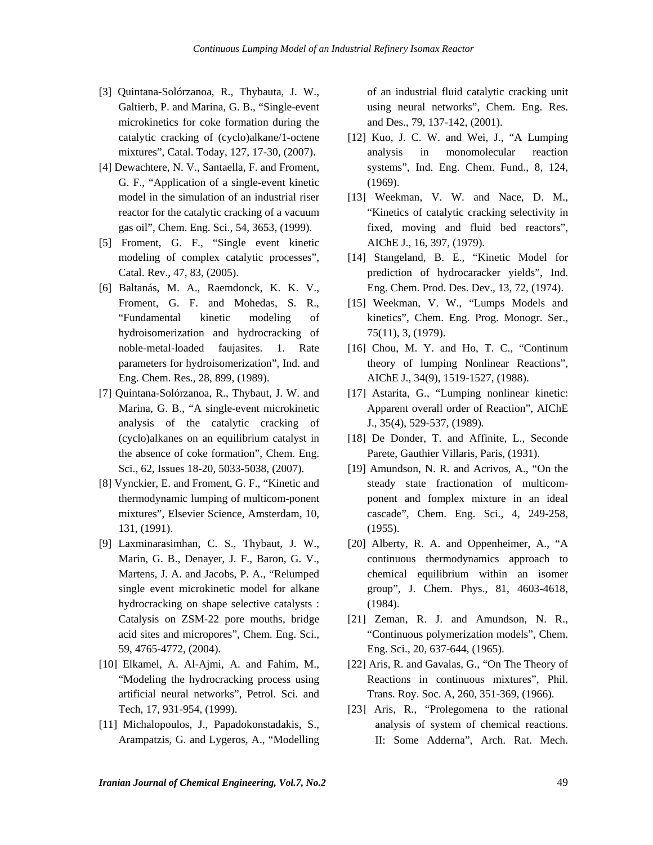- [3] Quintana-Solórzanoa, R., Thybauta, J. W., Galtierb, P. and Marina, G. B., "Single-event microkinetics for coke formation during the catalytic cracking of (cyclo)alkane/1-octene mixtures", Catal. Today, 127, 17-30, (2007).
- [4] Dewachtere, N. V., Santaella, F. and Froment, G. F., "Application of a single-event kinetic model in the simulation of an industrial riser reactor for the catalytic cracking of a vacuum gas oil", Chem. Eng. Sci., 54, 3653, (1999).
- [5] Froment, G. F., "Single event kinetic modeling of complex catalytic processes", Catal. Rev., 47, 83, (2005).
- [6] Baltanás, M. A., Raemdonck, K. K. V., Froment, G. F. and Mohedas, S. R., "Fundamental kinetic modeling of hydroisomerization and hydrocracking of noble-metal-loaded faujasites. 1. Rate parameters for hydroisomerization", Ind. and Eng. Chem. Res., 28, 899, (1989).
- [7] Quintana-Solórzanoa, R., Thybaut, J. W. and Marina, G. B., "A single-event microkinetic analysis of the catalytic cracking of (cyclo)alkanes on an equilibrium catalyst in the absence of coke formation", Chem. Eng. Sci., 62, Issues 18-20, 5033-5038, (2007).
- [8] Vynckier, E. and Froment, G. F., "Kinetic and thermodynamic lumping of multicom-ponent mixtures", Elsevier Science, Amsterdam, 10, 131, (1991).
- [9] Laxminarasimhan, C. S., Thybaut, J. W., Marin, G. B., Denayer, J. F., Baron, G. V., Martens, J. A. and Jacobs, P. A., "Relumped single event microkinetic model for alkane hydrocracking on shape selective catalysts : Catalysis on ZSM-22 pore mouths, bridge acid sites and micropores", Chem. Eng. Sci., 59, 4765-4772, (2004).
- [10] Elkamel, A. Al-Ajmi, A. and Fahim, M., "Modeling the hydrocracking process using artificial neural networks", Petrol. Sci. and Tech, 17, 931-954, (1999).
- [11] Michalopoulos, J., Papadokonstadakis, S., Arampatzis, G. and Lygeros, A., "Modelling

of an industrial fluid catalytic cracking unit using neural networks", Chem. Eng. Res. and Des., 79, 137-142, (2001).

- [12] Kuo, J. C. W. and Wei, J., "A Lumping analysis in monomolecular reaction systems", Ind. Eng. Chem. Fund., 8, 124, (1969).
- [13] Weekman, V. W. and Nace, D. M., "Kinetics of catalytic cracking selectivity in fixed, moving and fluid bed reactors", AIChE J., 16, 397, (1979).
- [14] Stangeland, B. E., "Kinetic Model for prediction of hydrocaracker yields", Ind. Eng. Chem. Prod. Des. Dev., 13, 72, (1974).
- [15] Weekman, V. W., "Lumps Models and kinetics", Chem. Eng. Prog. Monogr. Ser., 75(11), 3, (1979).
- [16] Chou, M. Y. and Ho, T. C., "Continum theory of lumping Nonlinear Reactions", AIChE J., 34(9), 1519-1527, (1988).
- [17] Astarita, G., "Lumping nonlinear kinetic: Apparent overall order of Reaction", AIChE J., 35(4), 529-537, (1989).
- [18] De Donder, T. and Affinite, L., Seconde Parete, Gauthier Villaris, Paris, (1931).
- [19] Amundson, N. R. and Acrivos, A., "On the steady state fractionation of multicomponent and fomplex mixture in an ideal cascade", Chem. Eng. Sci., 4, 249-258, (1955).
- [20] Alberty, R. A. and Oppenheimer, A., "A continuous thermodynamics approach to chemical equilibrium within an isomer group", J. Chem. Phys., 81, 4603-4618, (1984).
- [21] Zeman, R. J. and Amundson, N. R., "Continuous polymerization models", Chem. Eng. Sci., 20, 637-644, (1965).
- [22] Aris, R. and Gavalas, G., "On The Theory of Reactions in continuous mixtures", Phil. Trans. Roy. Soc. A, 260, 351-369, (1966).
- [23] Aris, R., "Prolegomena to the rational analysis of system of chemical reactions. II: Some Adderna", Arch. Rat. Mech.